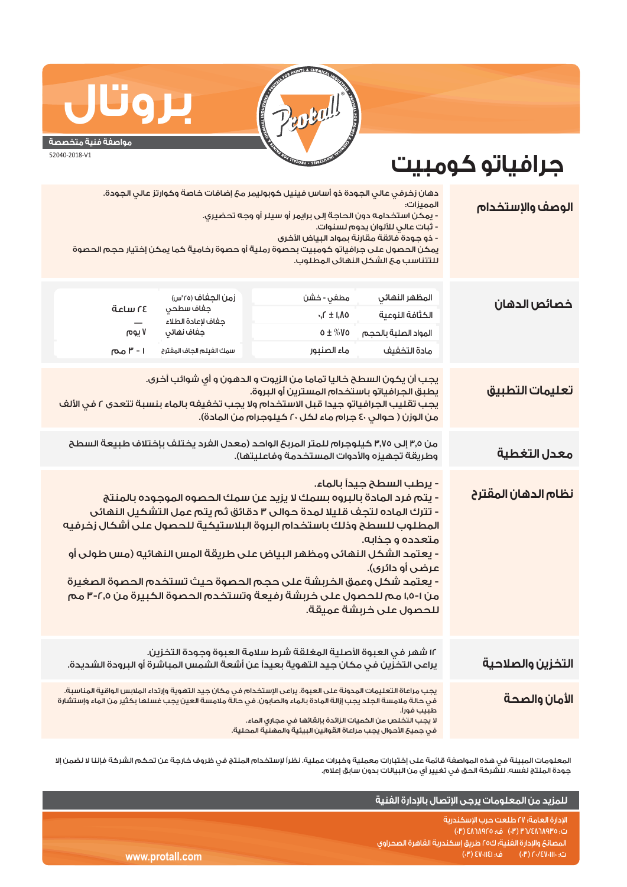

## **مواصفة فنية متخصصة**

**بروتال**

52040-2018-V1

## **جرافياتو كومبيت**

| الوصف والإستخدام             | الممىزات:<br>- ثبات عالي للألوان يدوم لسنوات.<br>- ذو جودة فائقة مقارنة بمواد البياض الأخرى<br>للتتناسب مع الشكل النهائى المطلوب.                                                                                                                                                                                                                                                                                                                                                                                                                            | دهان زخرفي عالي الجودة ذو أساس فينيل كوبوليمر معَ إضافات خاصة وكوارتز عالي الجودة.<br>- يمكن استخدامه دون الحاجة إلى برايمر أو سيلر أو وجه تحضيري.<br>يمكن الحصول على جرافياتو كومبيت بحصوة رملية أو حصوة رخامية كما يمكن إختيار حجم الحصوة |                                                                                                |                                                                 |
|------------------------------|--------------------------------------------------------------------------------------------------------------------------------------------------------------------------------------------------------------------------------------------------------------------------------------------------------------------------------------------------------------------------------------------------------------------------------------------------------------------------------------------------------------------------------------------------------------|---------------------------------------------------------------------------------------------------------------------------------------------------------------------------------------------------------------------------------------------|------------------------------------------------------------------------------------------------|-----------------------------------------------------------------|
| خصائص الدهان                 | المظهر النهائي<br>الكثافة النوعية<br>المواد الصلبة بالحجم<br>مادة التخفيف                                                                                                                                                                                                                                                                                                                                                                                                                                                                                    | مطفي - خشن<br>$\cdot$ , $\Gamma \pm 1, \Lambda$ 0<br>$0 \pm \%$ Vo<br>ماء الصنبور                                                                                                                                                           | زمن الجغاف (٢٥°س)<br>جفاف سطحي<br>جفاف لإعادة الطلاء<br>جفاف نهائي<br>سمك الغيلم الجاف المقترح | قدلس 21<br>$\overline{\phantom{0}}$<br>۷ یوم<br><b>ا - ۳ مم</b> |
| <mark>تعليمات التطبيق</mark> | يجب أن يكون السطح خاليا تماما من الزيوت و الدهون و أي شوائب أخرى.<br>يطبق الجرافياتو باستخدام المسترين أو البروة.<br>يجب تقليب الجرافياتو جيدا قبل الاستخدام ولا يجب تخفيفه بالماء بنسبة تتعدى ٢ في الألف<br>من الوزن ( حوالي ٤٠ جرام ماء لكل ٢٠ كيلوجرام من المادة).                                                                                                                                                                                                                                                                                        |                                                                                                                                                                                                                                             |                                                                                                |                                                                 |
| معدل التغطية                 |                                                                                                                                                                                                                                                                                                                                                                                                                                                                                                                                                              | من ٣٫٥ إلى ٣٫٧٥ كيلوجرام للمتر المربح الواحد (معدل الفرد يختلف بإختلاف طبيعة السطح<br>وطريقة تجهيزه والأدوات المستخدمة وفاعليتها).                                                                                                          |                                                                                                |                                                                 |
| نظام الدهان المقترح          | - يرطب السطح جيداً بالماء.<br>- يتم فرد المادة بالبروه بسمك لا يزيد عن سمك الحصوه الموجوده بالمنتج<br>- تترك الماده لتجف قليلا لمدة حوالى ٣ دقائق ثم يتم عمل التشكيل النهائى<br>المطلوب للسطح وذلك باستخدام البروة البلاستيكية للحصول على أشكال زخرفيه<br>متعدده و جذابه.<br>- يعتمد الشكل النهائى ومظهر البياض على طريقة المس النهائيه (مس طولى أو<br>عرضى أو دائرى).<br><mark>- يعتمد</mark> شكل وعمق الخربشة على حجم الحصوة حيث تستخدم الحصوة الصغيرة<br>من ١-١٥, مم للحصول على خربشة رفيعة وتستخدم الحصوة الكبيرة من ٢,٥-٣ مم<br>للحصول على خربشة عميقة. |                                                                                                                                                                                                                                             |                                                                                                |                                                                 |
| التخزين والصلاحية            |                                                                                                                                                                                                                                                                                                                                                                                                                                                                                                                                                              | ١٢ شهر في العبوة الأصلية المغلقة شرط سلامة العبوة وجودة التخزين.<br>يراعى التخزين في مكان جيد التهوية بعيداً عن أشعة الشمس المباشرة أو البرودة الشديدة.                                                                                     |                                                                                                |                                                                 |
| الأمان والصحة                | يجب مراعاة التعليمات المدونة على العبوة. يراعى الإستخدام في مكان جيد التهوية وإرتداء الملابس الواقية المناسبة.<br>في حالة ملامسة الجلد يجب إزالة المادة بالماء والصابون. في حالّة ملامسة العين يجب غسلها بكثير من الماء وإستشارة<br>طىيت فورآ.<br>لا يجب التخلص من الكميات الزائدة بإلقائها في مجاري الماء.<br>فى جميعَ الأحوال يجب مراعاة القوانين البيئية والمهنية المحلية.                                                                                                                                                                                |                                                                                                                                                                                                                                             |                                                                                                |                                                                 |

المعلومات المبينة في هذه المواصفة قائمة على إختبارات معملية وخبرات عملية. نظراً لإستخدام المنتج في ظروف خارجة عن تحكم الشركة فإننا لا نضمن إلا جودة المنتج نفسه. للشركة الحق في تغيير أي من البيانات بدون سابق إعلام.

|                 | للمزيد من المعلومات يرجى الإتصال بالإدارة الفنية                                                                                                                                                                  |
|-----------------|-------------------------------------------------------------------------------------------------------------------------------------------------------------------------------------------------------------------|
| www.protall.com | ّ الإدارة العامة؛ ٢٧ طلعت حرب الإسكندرية <sub>ا</sub><br>ت: ۴/۲۸٦۸۹۳۵/۲۳ (۳۰) ف: ٤٨٦٨٩٢٥ (۳۰)<br>المصانع والإدارة الفنية؛ ك٢٥ طريق إسكندرية القاهرة الصحراوى ،<br>, ت: ۲۰/۱۱۰۰ تا ۲۰/۱۷۰۱ (۳۰) هـ ، ۱۶۷۰۱۱ (۳۰) ا |
|                 |                                                                                                                                                                                                                   |